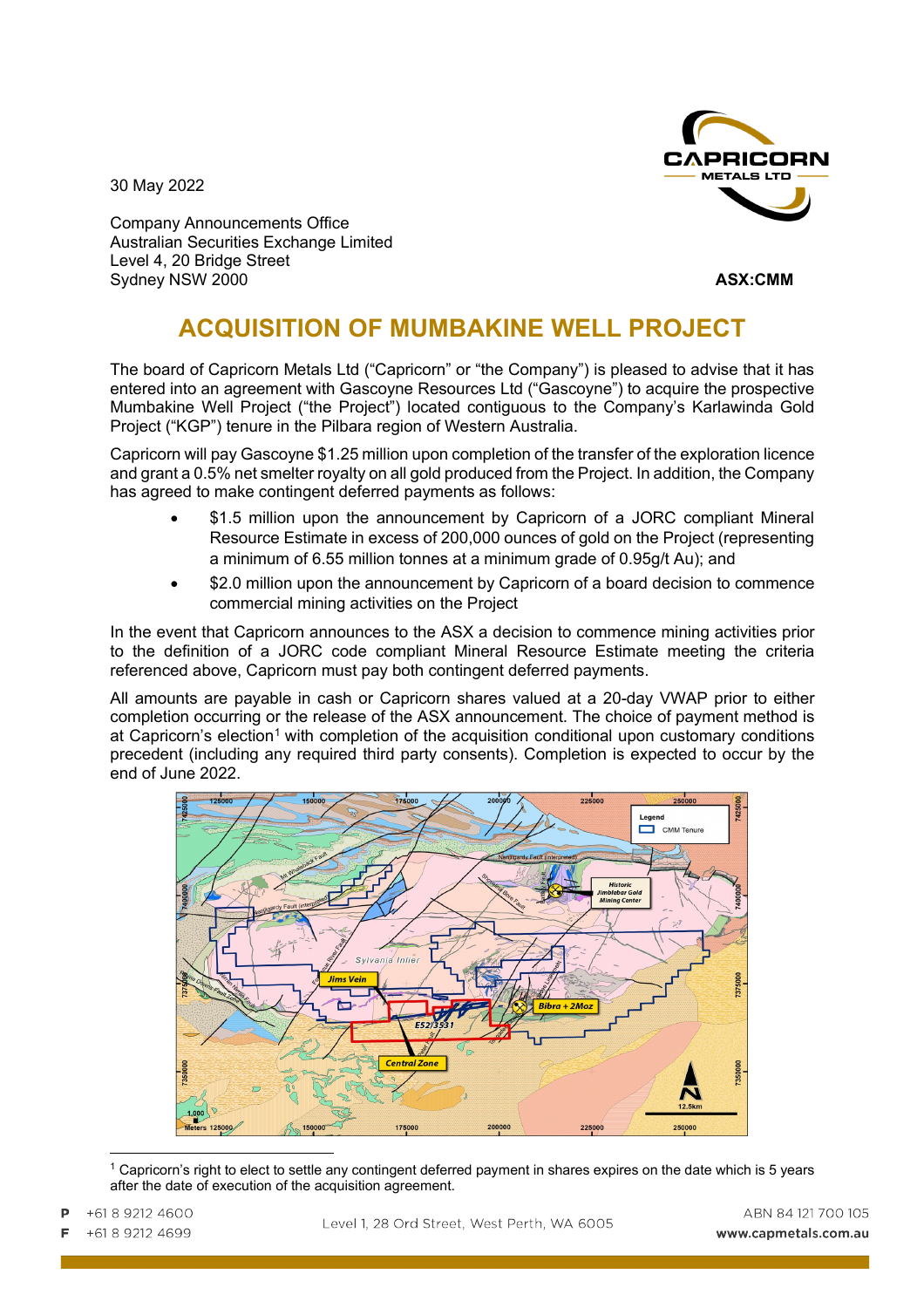

30 May 2022

Company Announcements Office Australian Securities Exchange Limited Level 4, 20 Bridge Street Sydney NSW 2000 **ASX:CMM**

## **ACQUISITION OF MUMBAKINE WELL PROJECT**

The board of Capricorn Metals Ltd ("Capricorn" or "the Company") is pleased to advise that it has entered into an agreement with Gascoyne Resources Ltd ("Gascoyne") to acquire the prospective Mumbakine Well Project ("the Project") located contiguous to the Company's Karlawinda Gold Project ("KGP") tenure in the Pilbara region of Western Australia.

Capricorn will pay Gascoyne \$1.25 million upon completion of the transfer of the exploration licence and grant a 0.5% net smelter royalty on all gold produced from the Project. In addition, the Company has agreed to make contingent deferred payments as follows:

- \$1.5 million upon the announcement by Capricorn of a JORC compliant Mineral Resource Estimate in excess of 200,000 ounces of gold on the Project (representing a minimum of 6.55 million tonnes at a minimum grade of 0.95g/t Au); and
- \$2.0 million upon the announcement by Capricorn of a board decision to commence commercial mining activities on the Project

In the event that Capricorn announces to the ASX a decision to commence mining activities prior to the definition of a JORC code compliant Mineral Resource Estimate meeting the criteria referenced above, Capricorn must pay both contingent deferred payments.

All amounts are payable in cash or Capricorn shares valued at a 20-day VWAP prior to either completion occurring or the release of the ASX announcement. The choice of payment method is at Capricorn's election<sup>[1](#page-0-0)</sup> with completion of the acquisition conditional upon customary conditions precedent (including any required third party consents). Completion is expected to occur by the end of June 2022.



<span id="page-0-0"></span> $1$  Capricorn's right to elect to settle any contingent deferred payment in shares expires on the date which is 5 years after the date of execution of the acquisition agreement.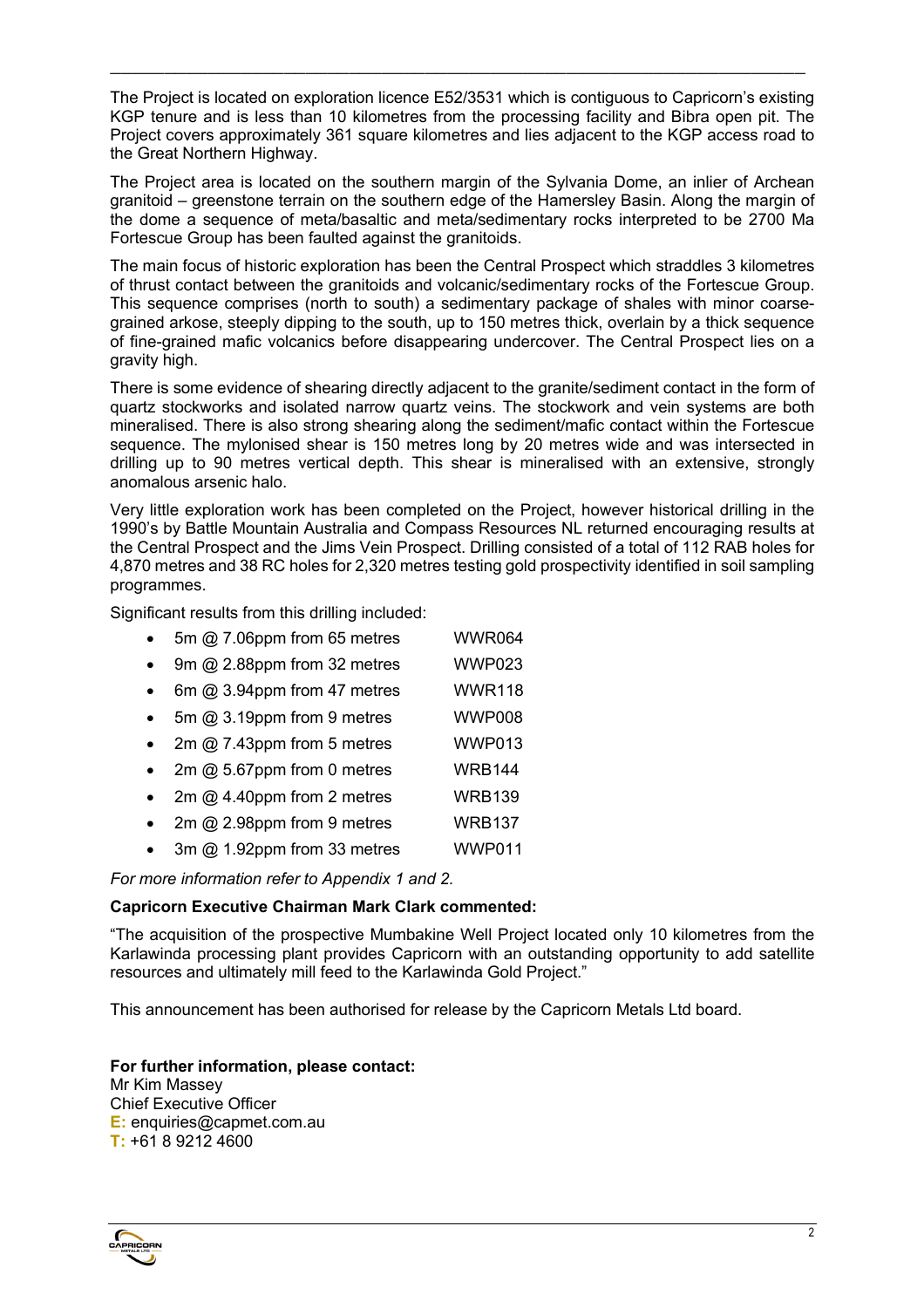The Project is located on exploration licence E52/3531 which is contiguous to Capricorn's existing KGP tenure and is less than 10 kilometres from the processing facility and Bibra open pit. The Project covers approximately 361 square kilometres and lies adjacent to the KGP access road to the Great Northern Highway.

 $\_$  ,  $\_$  ,  $\_$  ,  $\_$  ,  $\_$  ,  $\_$  ,  $\_$  ,  $\_$  ,  $\_$  ,  $\_$  ,  $\_$  ,  $\_$  ,  $\_$  ,  $\_$  ,  $\_$  ,  $\_$  ,  $\_$  ,  $\_$  ,  $\_$  ,  $\_$  ,  $\_$  ,  $\_$  ,  $\_$  ,  $\_$  ,  $\_$  ,  $\_$  ,  $\_$  ,  $\_$  ,  $\_$  ,  $\_$  ,  $\_$  ,  $\_$  ,  $\_$  ,  $\_$  ,  $\_$  ,  $\_$  ,  $\_$  ,

The Project area is located on the southern margin of the Sylvania Dome, an inlier of Archean granitoid – greenstone terrain on the southern edge of the Hamersley Basin. Along the margin of the dome a sequence of meta/basaltic and meta/sedimentary rocks interpreted to be 2700 Ma Fortescue Group has been faulted against the granitoids.

The main focus of historic exploration has been the Central Prospect which straddles 3 kilometres of thrust contact between the granitoids and volcanic/sedimentary rocks of the Fortescue Group. This sequence comprises (north to south) a sedimentary package of shales with minor coarsegrained arkose, steeply dipping to the south, up to 150 metres thick, overlain by a thick sequence of fine-grained mafic volcanics before disappearing undercover. The Central Prospect lies on a gravity high.

There is some evidence of shearing directly adjacent to the granite/sediment contact in the form of quartz stockworks and isolated narrow quartz veins. The stockwork and vein systems are both mineralised. There is also strong shearing along the sediment/mafic contact within the Fortescue sequence. The mylonised shear is 150 metres long by 20 metres wide and was intersected in drilling up to 90 metres vertical depth. This shear is mineralised with an extensive, strongly anomalous arsenic halo.

Very little exploration work has been completed on the Project, however historical drilling in the 1990's by Battle Mountain Australia and Compass Resources NL returned encouraging results at the Central Prospect and the Jims Vein Prospect. Drilling consisted of a total of 112 RAB holes for 4,870 metres and 38 RC holes for 2,320 metres testing gold prospectivity identified in soil sampling programmes.

Significant results from this drilling included:

- 5m @ 7.06ppm from 65 metres WWR064
- 9m @ 2.88ppm from 32 metres WWP023
- 6m @ 3.94ppm from 47 metres WWR118
- 5m @ 3.19ppm from 9 metres WWP008
- 2m @ 7.43ppm from 5 metres WWP013
- 2m @ 5.67ppm from 0 metres WRB144
- 2m  $@$  4.40ppm from 2 metres WRB139
- 2m @ 2.98ppm from 9 metres WRB137
- 3m @ 1.92ppm from 33 metres WWP011

*For more information refer to Appendix 1 and 2.*

#### **Capricorn Executive Chairman Mark Clark commented:**

"The acquisition of the prospective Mumbakine Well Project located only 10 kilometres from the Karlawinda processing plant provides Capricorn with an outstanding opportunity to add satellite resources and ultimately mill feed to the Karlawinda Gold Project."

This announcement has been authorised for release by the Capricorn Metals Ltd board.

**For further information, please contact:** Mr Kim Massey Chief Executive Officer **E:** enquiries@capmet.com.au **T:** +61 8 9212 4600

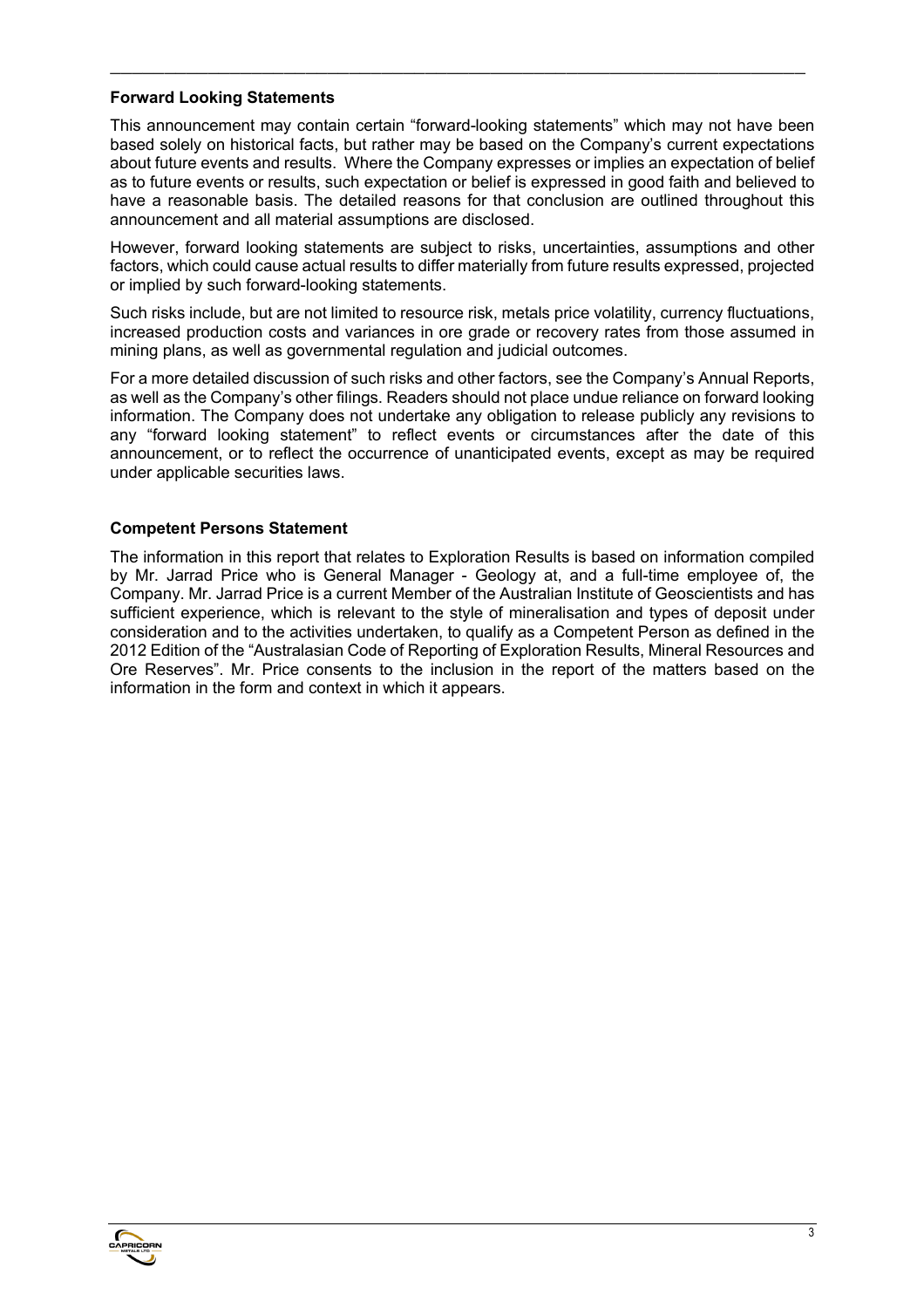### **Forward Looking Statements**

This announcement may contain certain "forward-looking statements" which may not have been based solely on historical facts, but rather may be based on the Company's current expectations about future events and results. Where the Company expresses or implies an expectation of belief as to future events or results, such expectation or belief is expressed in good faith and believed to have a reasonable basis. The detailed reasons for that conclusion are outlined throughout this announcement and all material assumptions are disclosed.

 $\_$  ,  $\_$  ,  $\_$  ,  $\_$  ,  $\_$  ,  $\_$  ,  $\_$  ,  $\_$  ,  $\_$  ,  $\_$  ,  $\_$  ,  $\_$  ,  $\_$  ,  $\_$  ,  $\_$  ,  $\_$  ,  $\_$  ,  $\_$  ,  $\_$  ,  $\_$  ,  $\_$  ,  $\_$  ,  $\_$  ,  $\_$  ,  $\_$  ,  $\_$  ,  $\_$  ,  $\_$  ,  $\_$  ,  $\_$  ,  $\_$  ,  $\_$  ,  $\_$  ,  $\_$  ,  $\_$  ,  $\_$  ,  $\_$  ,

However, forward looking statements are subject to risks, uncertainties, assumptions and other factors, which could cause actual results to differ materially from future results expressed, projected or implied by such forward-looking statements.

Such risks include, but are not limited to resource risk, metals price volatility, currency fluctuations, increased production costs and variances in ore grade or recovery rates from those assumed in mining plans, as well as governmental regulation and judicial outcomes.

For a more detailed discussion of such risks and other factors, see the Company's Annual Reports, as well as the Company's other filings. Readers should not place undue reliance on forward looking information. The Company does not undertake any obligation to release publicly any revisions to any "forward looking statement" to reflect events or circumstances after the date of this announcement, or to reflect the occurrence of unanticipated events, except as may be required under applicable securities laws.

### **Competent Persons Statement**

The information in this report that relates to Exploration Results is based on information compiled by Mr. Jarrad Price who is General Manager - Geology at, and a full-time employee of, the Company. Mr. Jarrad Price is a current Member of the Australian Institute of Geoscientists and has sufficient experience, which is relevant to the style of mineralisation and types of deposit under consideration and to the activities undertaken, to qualify as a Competent Person as defined in the 2012 Edition of the "Australasian Code of Reporting of Exploration Results, Mineral Resources and Ore Reserves". Mr. Price consents to the inclusion in the report of the matters based on the information in the form and context in which it appears.

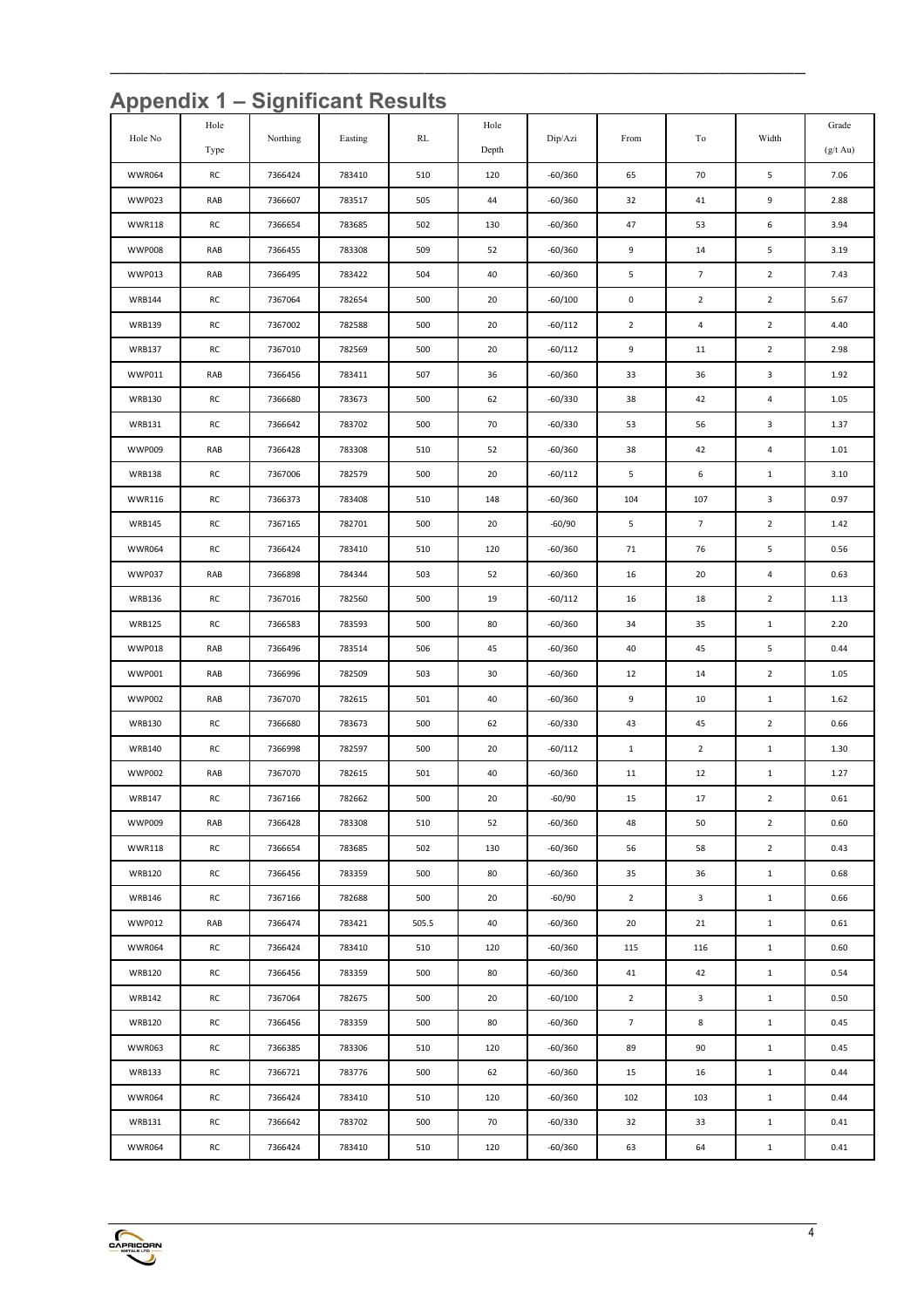|               | Hole |          |         | RL    | Hole   |           |                |                | Width                     | Grade              |
|---------------|------|----------|---------|-------|--------|-----------|----------------|----------------|---------------------------|--------------------|
| Hole No       | Type | Northing | Easting |       | Depth  | Dip/Azi   | From           | To             |                           | $(g/t \text{ Au})$ |
| <b>WWR064</b> | RC   | 7366424  | 783410  | 510   | 120    | $-60/360$ | 65             | 70             | 5                         | 7.06               |
| WWP023        | RAB  | 7366607  | 783517  | 505   | 44     | $-60/360$ | 32             | 41             | 9                         | 2.88               |
| <b>WWR118</b> | RC   | 7366654  | 783685  | 502   | 130    | $-60/360$ | 47             | 53             | 6                         | 3.94               |
| <b>WWP008</b> | RAB  | 7366455  | 783308  | 509   | 52     | $-60/360$ | 9              | 14             | 5                         | 3.19               |
| <b>WWP013</b> | RAB  | 7366495  | 783422  | 504   | 40     | $-60/360$ | 5              | $\overline{7}$ | $\overline{2}$            | 7.43               |
| <b>WRB144</b> | RC   | 7367064  | 782654  | 500   | 20     | $-60/100$ | $\mathsf 0$    | $\overline{2}$ | $\mathbf 2$               | 5.67               |
| <b>WRB139</b> | RC   | 7367002  | 782588  | 500   | $20\,$ | $-60/112$ | $\overline{2}$ | 4              | $\overline{2}$            | 4.40               |
| <b>WRB137</b> | RC   | 7367010  | 782569  | 500   | $20\,$ | $-60/112$ | 9              | 11             | $\mathbf 2$               | 2.98               |
| <b>WWP011</b> | RAB  | 7366456  | 783411  | 507   | 36     | $-60/360$ | 33             | 36             | 3                         | 1.92               |
| <b>WRB130</b> | RC   | 7366680  | 783673  | 500   | 62     | $-60/330$ | 38             | 42             | $\overline{4}$            | 1.05               |
| <b>WRB131</b> | RC   | 7366642  | 783702  | 500   | $70\,$ | $-60/330$ | 53             | 56             | $\ensuremath{\mathsf{3}}$ | 1.37               |
| <b>WWP009</b> | RAB  | 7366428  | 783308  | 510   | 52     | $-60/360$ | 38             | 42             | 4                         | 1.01               |
| <b>WRB138</b> | RC   | 7367006  | 782579  | 500   | 20     | $-60/112$ | 5              | 6              | $\mathbf{1}$              | 3.10               |
| <b>WWR116</b> | RC   | 7366373  | 783408  | 510   | 148    | $-60/360$ | 104            | 107            | $\mathbf{3}$              | 0.97               |
| <b>WRB145</b> | RC   | 7367165  | 782701  | 500   | 20     | $-60/90$  | 5              | $\overline{7}$ | $\overline{2}$            | 1.42               |
| <b>WWR064</b> | RC   | 7366424  | 783410  | 510   | 120    | $-60/360$ | 71             | 76             | 5                         | 0.56               |
| <b>WWP037</b> | RAB  | 7366898  | 784344  | 503   | 52     | $-60/360$ | 16             | 20             | 4                         | 0.63               |
| <b>WRB136</b> | RC   | 7367016  | 782560  | 500   | 19     | $-60/112$ | 16             | 18             | $\overline{2}$            | 1.13               |
| <b>WRB125</b> | RC   | 7366583  | 783593  | 500   | 80     | $-60/360$ | 34             | 35             | $\mathbf{1}$              | 2.20               |
| <b>WWP018</b> | RAB  | 7366496  | 783514  | 506   | 45     | $-60/360$ | 40             | 45             | 5                         | 0.44               |
| <b>WWP001</b> | RAB  | 7366996  | 782509  | 503   | 30     | $-60/360$ | 12             | 14             | $\overline{2}$            | 1.05               |
| <b>WWP002</b> | RAB  | 7367070  | 782615  | 501   | 40     | $-60/360$ | 9              | 10             | $\mathbf{1}$              | 1.62               |
| <b>WRB130</b> | RC   | 7366680  | 783673  | 500   | 62     | $-60/330$ | 43             | 45             | $\overline{2}$            | 0.66               |
| <b>WRB140</b> | RC   | 7366998  | 782597  | 500   | 20     | $-60/112$ | $\mathbf{1}$   | $\overline{2}$ | $\mathbf{1}$              | 1.30               |
| <b>WWP002</b> | RAB  | 7367070  | 782615  | 501   | 40     | $-60/360$ | 11             | 12             | $\mathbf{1}$              | 1.27               |
| <b>WRB147</b> | RC   | 7367166  | 782662  | 500   | 20     | $-60/90$  | 15             | 17             | $\overline{2}$            | 0.61               |
| <b>WWP009</b> | RAB  | 7366428  | 783308  | 510   | 52     | $-60/360$ | 48             | 50             | $\mathbf 2$               | 0.60               |
| <b>WWR118</b> | RC   | 7366654  | 783685  | 502   | 130    | $-60/360$ | 56             | 58             | $\overline{2}$            | 0.43               |
| <b>WRB120</b> | RC   | 7366456  | 783359  | 500   | 80     | $-60/360$ | 35             | 36             | $\mathbf{1}$              | 0.68               |
| <b>WRB146</b> | RC   | 7367166  | 782688  | 500   | 20     | $-60/90$  | $\overline{2}$ | 3              | $\mathbf{1}$              | 0.66               |
| <b>WWP012</b> | RAB  | 7366474  | 783421  | 505.5 | 40     | $-60/360$ | 20             | 21             | $1\,$                     | 0.61               |
| <b>WWR064</b> | RC   | 7366424  | 783410  | 510   | 120    | $-60/360$ | 115            | 116            | $\mathbf{1}$              | 0.60               |
| <b>WRB120</b> | RC   | 7366456  | 783359  | 500   | 80     | $-60/360$ | 41             | 42             | $\mathbf 1$               | 0.54               |
| <b>WRB142</b> | RC   | 7367064  | 782675  | 500   | 20     | $-60/100$ | $\overline{2}$ | 3              | $\mathbf{1}$              | 0.50               |
| <b>WRB120</b> | RC   | 7366456  | 783359  | 500   | 80     | $-60/360$ | $\overline{7}$ | 8              | $\mathbf{1}$              | 0.45               |
| <b>WWR063</b> | RC   | 7366385  | 783306  | 510   | 120    | $-60/360$ | 89             | 90             | $\mathbf{1}$              | 0.45               |
| <b>WRB133</b> | RC   | 7366721  | 783776  | 500   | 62     | $-60/360$ | 15             | 16             | $\mathbf{1}$              | 0.44               |
| <b>WWR064</b> | RC   | 7366424  | 783410  | 510   | 120    | $-60/360$ | 102            | 103            | $1\,$                     | 0.44               |
| <b>WRB131</b> | RC   | 7366642  | 783702  | 500   | 70     | $-60/330$ | 32             | 33             | $\mathbf{1}$              | 0.41               |
| <b>WWR064</b> | RC   | 7366424  | 783410  | 510   | 120    | $-60/360$ | 63             | 64             | $\mathbf{1}$              | 0.41               |

 $\_$  ,  $\_$  ,  $\_$  ,  $\_$  ,  $\_$  ,  $\_$  ,  $\_$  ,  $\_$  ,  $\_$  ,  $\_$  ,  $\_$  ,  $\_$  ,  $\_$  ,  $\_$  ,  $\_$  ,  $\_$  ,  $\_$  ,  $\_$  ,  $\_$  ,  $\_$  ,  $\_$  ,  $\_$  ,  $\_$  ,  $\_$  ,  $\_$  ,  $\_$  ,  $\_$  ,  $\_$  ,  $\_$  ,  $\_$  ,  $\_$  ,  $\_$  ,  $\_$  ,  $\_$  ,  $\_$  ,  $\_$  ,  $\_$  ,

# **Appendix 1 – Significant Results**

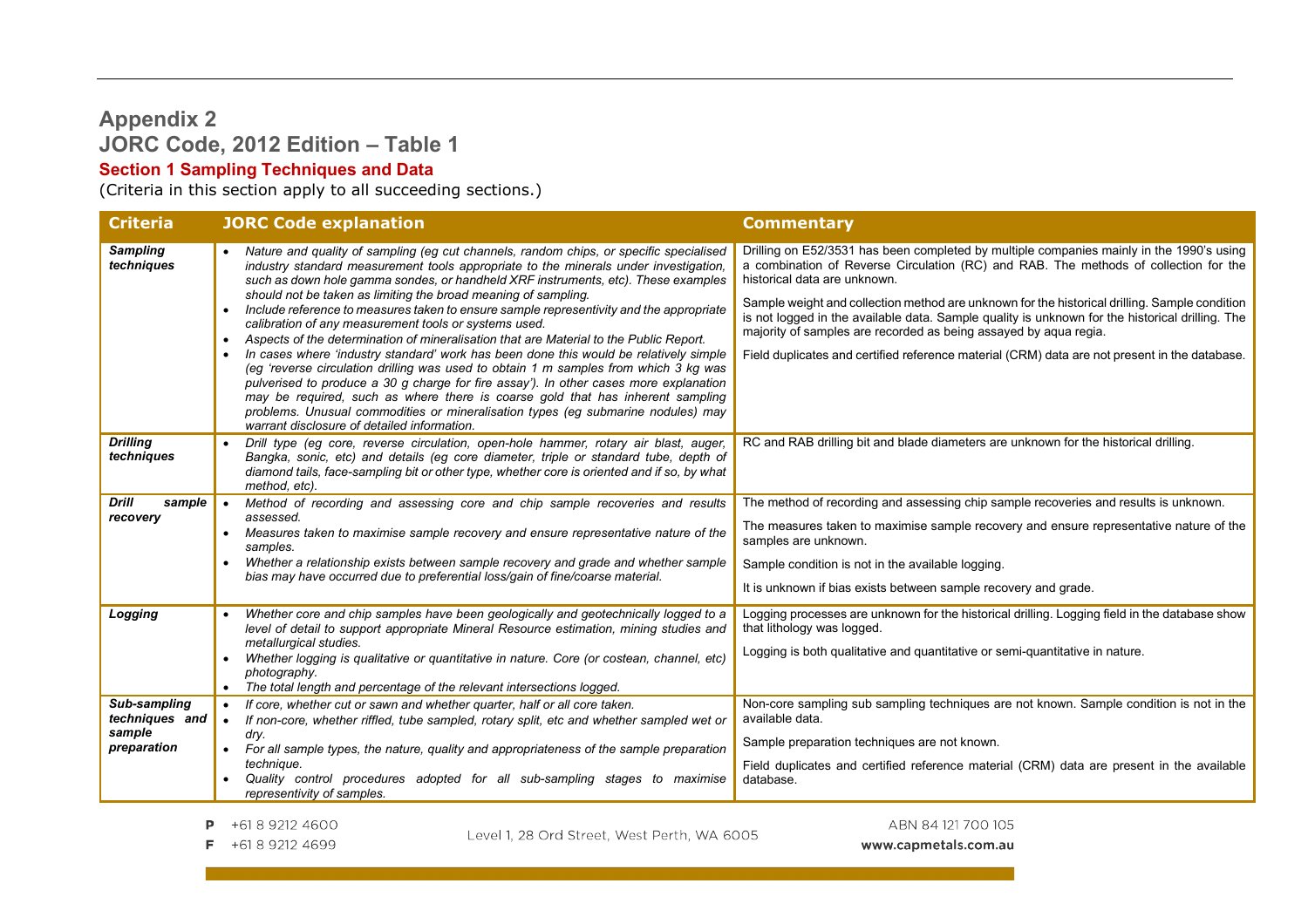### **Appendix 2 JORC Code, 2012 Edition – Table 1**

### **Section 1 Sampling Techniques and Data**

(Criteria in this section apply to all succeeding sections.)

| <b>Criteria</b>                                         | <b>JORC Code explanation</b>                                                                                                                                                                                                                                                                                                                                                                                                                                                                                                                                                                                                                                                                                                                                                                                                                                                                                                                                                                                                                                                                                 | <b>Commentary</b>                                                                                                                                                                                                                                                                                                                                                                                                                                                                                                                                                                         |
|---------------------------------------------------------|--------------------------------------------------------------------------------------------------------------------------------------------------------------------------------------------------------------------------------------------------------------------------------------------------------------------------------------------------------------------------------------------------------------------------------------------------------------------------------------------------------------------------------------------------------------------------------------------------------------------------------------------------------------------------------------------------------------------------------------------------------------------------------------------------------------------------------------------------------------------------------------------------------------------------------------------------------------------------------------------------------------------------------------------------------------------------------------------------------------|-------------------------------------------------------------------------------------------------------------------------------------------------------------------------------------------------------------------------------------------------------------------------------------------------------------------------------------------------------------------------------------------------------------------------------------------------------------------------------------------------------------------------------------------------------------------------------------------|
| <b>Sampling</b><br>techniques                           | Nature and quality of sampling (eg cut channels, random chips, or specific specialised<br>$\bullet$<br>industry standard measurement tools appropriate to the minerals under investigation.<br>such as down hole gamma sondes, or handheld XRF instruments, etc). These examples<br>should not be taken as limiting the broad meaning of sampling.<br>Include reference to measures taken to ensure sample representivity and the appropriate<br>calibration of any measurement tools or systems used.<br>Aspects of the determination of mineralisation that are Material to the Public Report.<br>$\bullet$<br>In cases where 'industry standard' work has been done this would be relatively simple<br>(eg 'reverse circulation drilling was used to obtain 1 m samples from which 3 kg was<br>pulverised to produce a 30 g charge for fire assay'). In other cases more explanation<br>may be required, such as where there is coarse gold that has inherent sampling<br>problems. Unusual commodities or mineralisation types (eg submarine nodules) may<br>warrant disclosure of detailed information. | Drilling on E52/3531 has been completed by multiple companies mainly in the 1990's using<br>a combination of Reverse Circulation (RC) and RAB. The methods of collection for the<br>historical data are unknown.<br>Sample weight and collection method are unknown for the historical drilling. Sample condition<br>is not logged in the available data. Sample quality is unknown for the historical drilling. The<br>majority of samples are recorded as being assayed by agua regia.<br>Field duplicates and certified reference material (CRM) data are not present in the database. |
| <b>Drilling</b><br>techniques                           | Drill type (eg core, reverse circulation, open-hole hammer, rotary air blast, auger,<br>Bangka, sonic, etc) and details (eg core diameter, triple or standard tube, depth of<br>diamond tails, face-sampling bit or other type, whether core is oriented and if so, by what<br>method, etc).                                                                                                                                                                                                                                                                                                                                                                                                                                                                                                                                                                                                                                                                                                                                                                                                                 | RC and RAB drilling bit and blade diameters are unknown for the historical drilling.                                                                                                                                                                                                                                                                                                                                                                                                                                                                                                      |
| <b>Drill</b><br>sample<br>recovery                      | Method of recording and assessing core and chip sample recoveries and results<br>$\bullet$<br>assessed.<br>Measures taken to maximise sample recovery and ensure representative nature of the<br>samples.<br>Whether a relationship exists between sample recovery and grade and whether sample<br>bias may have occurred due to preferential loss/gain of fine/coarse material.                                                                                                                                                                                                                                                                                                                                                                                                                                                                                                                                                                                                                                                                                                                             | The method of recording and assessing chip sample recoveries and results is unknown.<br>The measures taken to maximise sample recovery and ensure representative nature of the<br>samples are unknown.<br>Sample condition is not in the available logging.<br>It is unknown if bias exists between sample recovery and grade.                                                                                                                                                                                                                                                            |
| Logging                                                 | Whether core and chip samples have been geologically and geotechnically logged to a<br>level of detail to support appropriate Mineral Resource estimation, mining studies and<br>metallurgical studies.<br>Whether logging is qualitative or quantitative in nature. Core (or costean, channel, etc)<br>photography.<br>The total length and percentage of the relevant intersections logged.<br>$\bullet$                                                                                                                                                                                                                                                                                                                                                                                                                                                                                                                                                                                                                                                                                                   | Logging processes are unknown for the historical drilling. Logging field in the database show<br>that lithology was logged.<br>Logging is both qualitative and quantitative or semi-quantitative in nature.                                                                                                                                                                                                                                                                                                                                                                               |
| Sub-sampling<br>techniques and<br>sample<br>preparation | If core, whether cut or sawn and whether quarter, half or all core taken.<br>If non-core, whether riffled, tube sampled, rotary split, etc and whether sampled wet or<br>$\bullet$<br>dry.<br>For all sample types, the nature, quality and appropriateness of the sample preparation<br>technique.<br>Quality control procedures adopted for all sub-sampling stages to maximise<br>representivity of samples.                                                                                                                                                                                                                                                                                                                                                                                                                                                                                                                                                                                                                                                                                              | Non-core sampling sub sampling techniques are not known. Sample condition is not in the<br>available data.<br>Sample preparation techniques are not known.<br>Field duplicates and certified reference material (CRM) data are present in the available<br>database.                                                                                                                                                                                                                                                                                                                      |

 $P$  +61 8 9212 4600

 $F + 61892124699$ 

Level 1, 28 Ord Street, West Perth, WA 6005

ABN 84 121 700 105

www.capmetals.com.au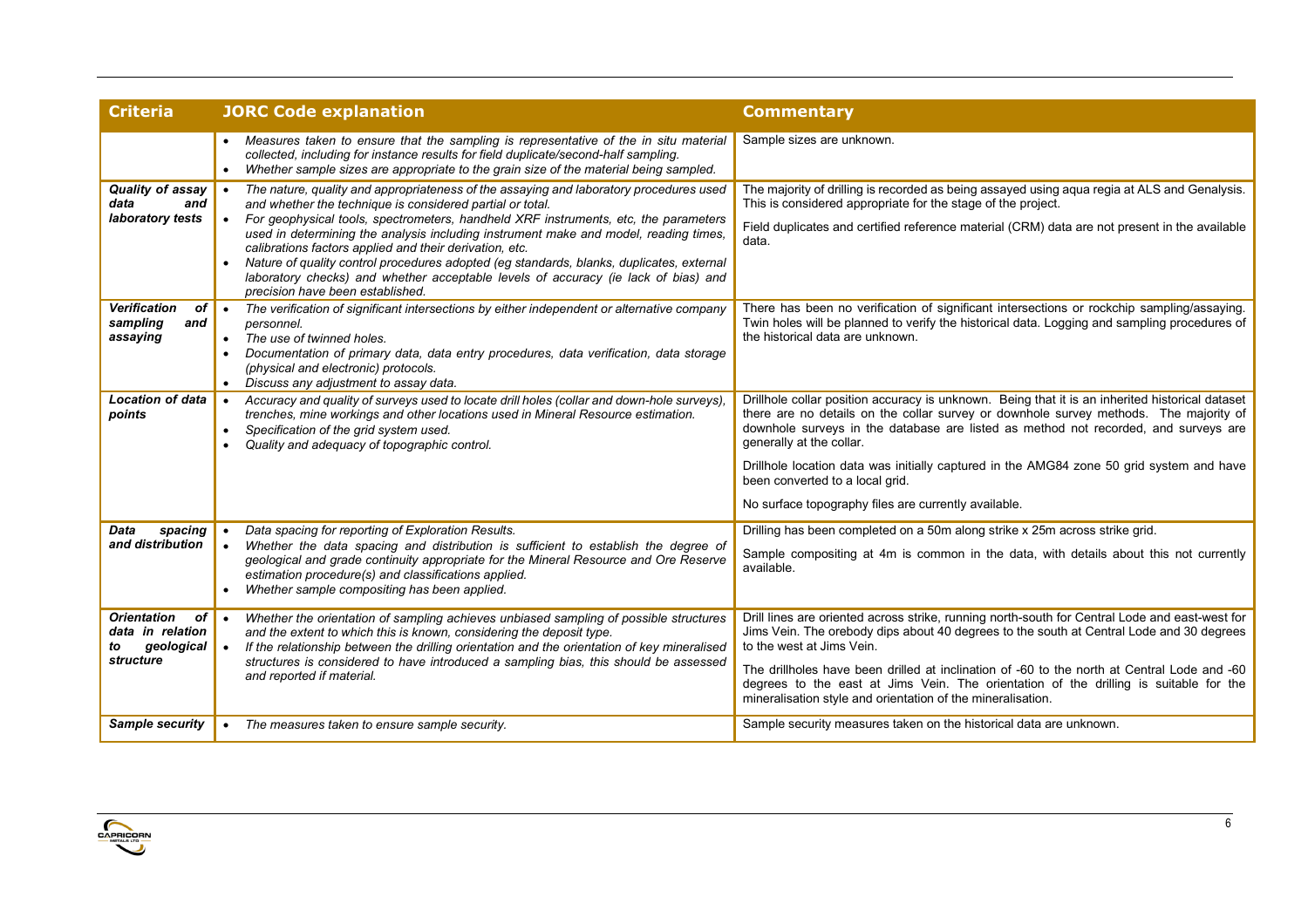| <b>Criteria</b>                                                               | <b>JORC Code explanation</b>                                                                                                                                                                                                                                                                                                                                                                                                                                                                                                                                                                                                                    | <b>Commentary</b>                                                                                                                                                                                                                                                                                                                                                                                                                                                                                  |
|-------------------------------------------------------------------------------|-------------------------------------------------------------------------------------------------------------------------------------------------------------------------------------------------------------------------------------------------------------------------------------------------------------------------------------------------------------------------------------------------------------------------------------------------------------------------------------------------------------------------------------------------------------------------------------------------------------------------------------------------|----------------------------------------------------------------------------------------------------------------------------------------------------------------------------------------------------------------------------------------------------------------------------------------------------------------------------------------------------------------------------------------------------------------------------------------------------------------------------------------------------|
|                                                                               | Measures taken to ensure that the sampling is representative of the in situ material<br>collected, including for instance results for field duplicate/second-half sampling.<br>Whether sample sizes are appropriate to the grain size of the material being sampled.<br>$\bullet$                                                                                                                                                                                                                                                                                                                                                               | Sample sizes are unknown.                                                                                                                                                                                                                                                                                                                                                                                                                                                                          |
| <b>Quality of assay</b><br>data<br>and<br>laboratory tests                    | The nature, quality and appropriateness of the assaying and laboratory procedures used<br>$\bullet$<br>and whether the technique is considered partial or total.<br>• For geophysical tools, spectrometers, handheld XRF instruments, etc, the parameters<br>used in determining the analysis including instrument make and model, reading times,<br>calibrations factors applied and their derivation, etc.<br>Nature of quality control procedures adopted (eg standards, blanks, duplicates, external<br>$\bullet$<br>laboratory checks) and whether acceptable levels of accuracy (ie lack of bias) and<br>precision have been established. | The majority of drilling is recorded as being assayed using aqua regia at ALS and Genalysis.<br>This is considered appropriate for the stage of the project.<br>Field duplicates and certified reference material (CRM) data are not present in the available<br>data.                                                                                                                                                                                                                             |
| <b>Verification</b><br>of<br>sampling<br>and<br>assaying                      | $\bullet$<br>The verification of significant intersections by either independent or alternative company<br>personnel.<br>• The use of twinned holes.<br>Documentation of primary data, data entry procedures, data verification, data storage<br>(physical and electronic) protocols.<br>• Discuss any adjustment to assay data.                                                                                                                                                                                                                                                                                                                | There has been no verification of significant intersections or rockchip sampling/assaying.<br>Twin holes will be planned to verify the historical data. Logging and sampling procedures of<br>the historical data are unknown.                                                                                                                                                                                                                                                                     |
| <b>Location of data</b><br>points                                             | Accuracy and quality of surveys used to locate drill holes (collar and down-hole surveys),<br>$\bullet$<br>trenches, mine workings and other locations used in Mineral Resource estimation.<br>Specification of the grid system used.<br>$\bullet$<br>Quality and adequacy of topographic control.<br>$\bullet$                                                                                                                                                                                                                                                                                                                                 | Drillhole collar position accuracy is unknown. Being that it is an inherited historical dataset<br>there are no details on the collar survey or downhole survey methods. The majority of<br>downhole surveys in the database are listed as method not recorded, and surveys are<br>generally at the collar.<br>Drillhole location data was initially captured in the AMG84 zone 50 grid system and have<br>been converted to a local grid.<br>No surface topography files are currently available. |
| <b>Data</b><br>spacing<br>and distribution                                    | Data spacing for reporting of Exploration Results.<br>$\bullet$<br>Whether the data spacing and distribution is sufficient to establish the degree of<br>$\bullet$<br>geological and grade continuity appropriate for the Mineral Resource and Ore Reserve<br>estimation procedure(s) and classifications applied.<br>Whether sample compositing has been applied.                                                                                                                                                                                                                                                                              | Drilling has been completed on a 50m along strike x 25m across strike grid.<br>Sample compositing at 4m is common in the data, with details about this not currently<br>available.                                                                                                                                                                                                                                                                                                                 |
| <b>Orientation</b><br>0f<br>data in relation<br>geological<br>to<br>structure | Whether the orientation of sampling achieves unbiased sampling of possible structures<br>$\bullet$<br>and the extent to which this is known, considering the deposit type.<br>$\bullet$<br>If the relationship between the drilling orientation and the orientation of key mineralised<br>structures is considered to have introduced a sampling bias, this should be assessed<br>and reported if material.                                                                                                                                                                                                                                     | Drill lines are oriented across strike, running north-south for Central Lode and east-west for<br>Jims Vein. The orebody dips about 40 degrees to the south at Central Lode and 30 degrees<br>to the west at Jims Vein.<br>The drillholes have been drilled at inclination of -60 to the north at Central Lode and -60<br>degrees to the east at Jims Vein. The orientation of the drilling is suitable for the<br>mineralisation style and orientation of the mineralisation.                     |
| Sample security                                                               | The measures taken to ensure sample security.<br>$\bullet$                                                                                                                                                                                                                                                                                                                                                                                                                                                                                                                                                                                      | Sample security measures taken on the historical data are unknown.                                                                                                                                                                                                                                                                                                                                                                                                                                 |

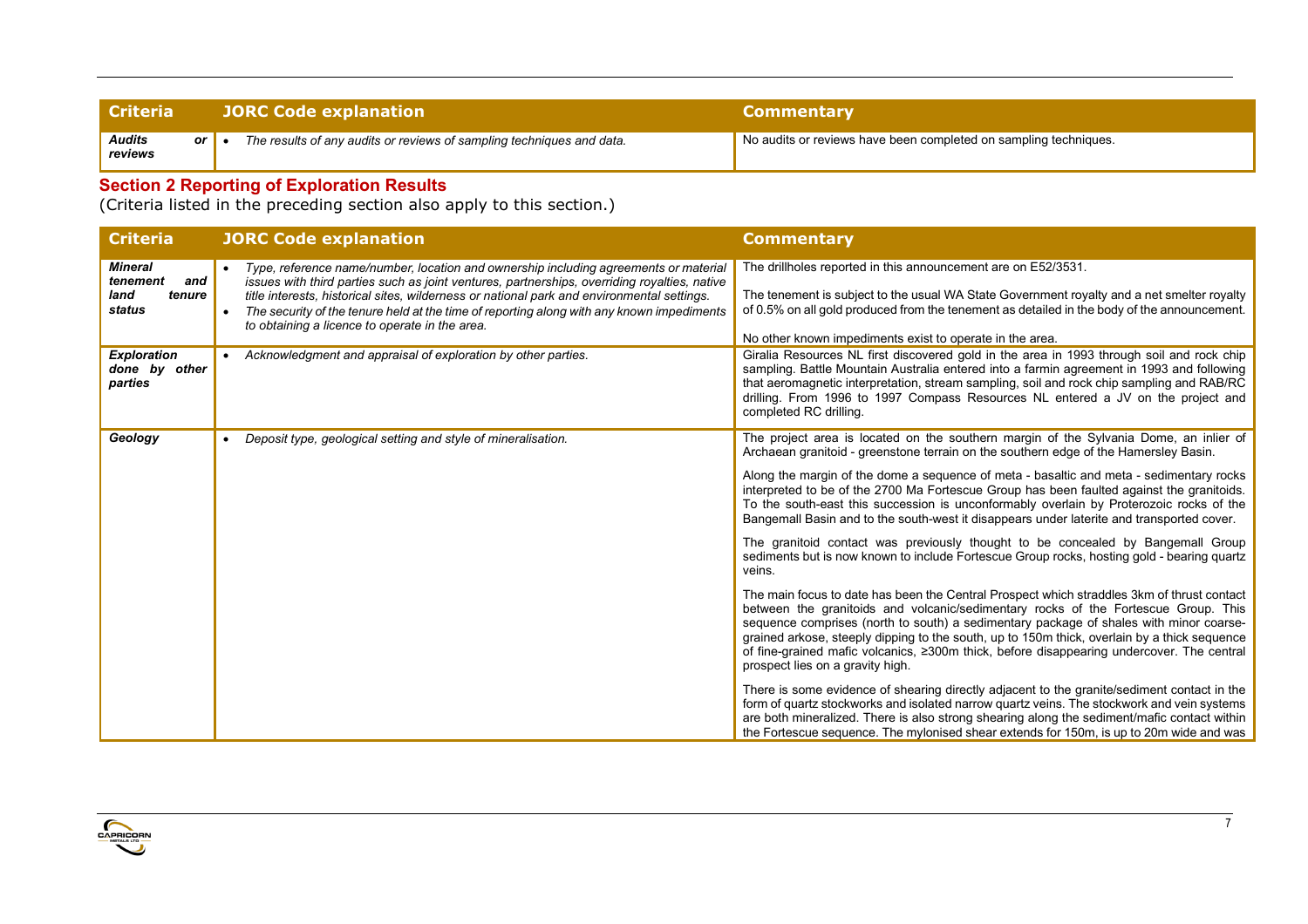| <b>Criteria</b>   | <b>JORC Code explanation</b>                                                  | <b>Commentary</b>                                                |
|-------------------|-------------------------------------------------------------------------------|------------------------------------------------------------------|
| Audits<br>reviews | The results of any audits or reviews of sampling techniques and data.<br>or I | No audits or reviews have been completed on sampling techniques. |

### **Section 2 Reporting of Exploration Results**

(Criteria listed in the preceding section also apply to this section.)

| <b>Criteria</b>                                        | <b>JORC Code explanation</b>                                                                                                                                                                                                                                                                                                                                                                                                                                | <b>Commentary</b>                                                                                                                                                                                                                                                                                                                                                                                                                                                                                                                                                                                                                                                                                                                                                                                                                                                                                                                                                                                                                                                                                                                                                                                                                                                                                                                                                                                                                                                                                                                                                                                                                                              |
|--------------------------------------------------------|-------------------------------------------------------------------------------------------------------------------------------------------------------------------------------------------------------------------------------------------------------------------------------------------------------------------------------------------------------------------------------------------------------------------------------------------------------------|----------------------------------------------------------------------------------------------------------------------------------------------------------------------------------------------------------------------------------------------------------------------------------------------------------------------------------------------------------------------------------------------------------------------------------------------------------------------------------------------------------------------------------------------------------------------------------------------------------------------------------------------------------------------------------------------------------------------------------------------------------------------------------------------------------------------------------------------------------------------------------------------------------------------------------------------------------------------------------------------------------------------------------------------------------------------------------------------------------------------------------------------------------------------------------------------------------------------------------------------------------------------------------------------------------------------------------------------------------------------------------------------------------------------------------------------------------------------------------------------------------------------------------------------------------------------------------------------------------------------------------------------------------------|
| Mineral<br>and<br>tenement<br>land<br>tenure<br>status | Type, reference name/number, location and ownership including agreements or material<br>$\bullet$<br>issues with third parties such as joint ventures, partnerships, overriding royalties, native<br>title interests, historical sites, wilderness or national park and environmental settings.<br>The security of the tenure held at the time of reporting along with any known impediments<br>$\bullet$<br>to obtaining a licence to operate in the area. | The drillholes reported in this announcement are on E52/3531.<br>The tenement is subject to the usual WA State Government royalty and a net smelter royalty<br>of 0.5% on all gold produced from the tenement as detailed in the body of the announcement.<br>No other known impediments exist to operate in the area.                                                                                                                                                                                                                                                                                                                                                                                                                                                                                                                                                                                                                                                                                                                                                                                                                                                                                                                                                                                                                                                                                                                                                                                                                                                                                                                                         |
| <b>Exploration</b><br>done by other<br>parties         | Acknowledgment and appraisal of exploration by other parties.                                                                                                                                                                                                                                                                                                                                                                                               | Giralia Resources NL first discovered gold in the area in 1993 through soil and rock chip<br>sampling. Battle Mountain Australia entered into a farmin agreement in 1993 and following<br>that aeromagnetic interpretation, stream sampling, soil and rock chip sampling and RAB/RC<br>drilling. From 1996 to 1997 Compass Resources NL entered a JV on the project and<br>completed RC drilling.                                                                                                                                                                                                                                                                                                                                                                                                                                                                                                                                                                                                                                                                                                                                                                                                                                                                                                                                                                                                                                                                                                                                                                                                                                                              |
| Geology                                                | Deposit type, geological setting and style of mineralisation.<br>$\bullet$                                                                                                                                                                                                                                                                                                                                                                                  | The project area is located on the southern margin of the Sylvania Dome, an inlier of<br>Archaean granitoid - greenstone terrain on the southern edge of the Hamersley Basin.<br>Along the margin of the dome a sequence of meta - basaltic and meta - sedimentary rocks<br>interpreted to be of the 2700 Ma Fortescue Group has been faulted against the granitoids.<br>To the south-east this succession is unconformably overlain by Proterozoic rocks of the<br>Bangemall Basin and to the south-west it disappears under laterite and transported cover.<br>The granitoid contact was previously thought to be concealed by Bangemall Group<br>sediments but is now known to include Fortescue Group rocks, hosting gold - bearing quartz<br>veins.<br>The main focus to date has been the Central Prospect which straddles 3km of thrust contact<br>between the granitoids and volcanic/sedimentary rocks of the Fortescue Group. This<br>sequence comprises (north to south) a sedimentary package of shales with minor coarse-<br>grained arkose, steeply dipping to the south, up to 150m thick, overlain by a thick sequence<br>of fine-grained mafic volcanics, ≥300m thick, before disappearing undercover. The central<br>prospect lies on a gravity high.<br>There is some evidence of shearing directly adjacent to the granite/sediment contact in the<br>form of quartz stockworks and isolated narrow quartz veins. The stockwork and vein systems<br>are both mineralized. There is also strong shearing along the sediment/mafic contact within<br>the Fortescue sequence. The mylonised shear extends for 150m, is up to 20m wide and was |

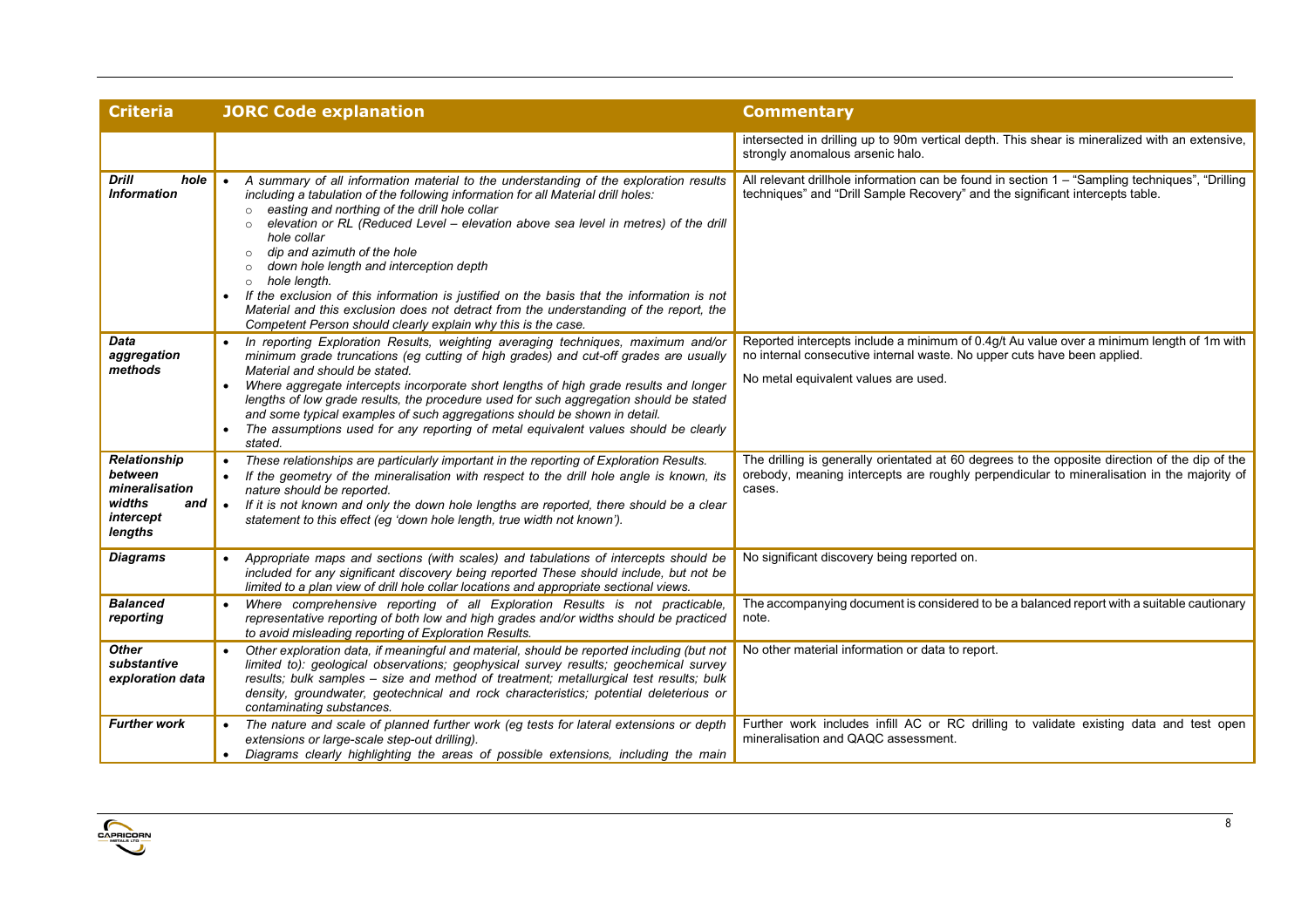| <b>Criteria</b>                                                                           | <b>JORC Code explanation</b>                                                                                                                                                                                                                                                                                                                                                                                                                                                                                                                                                                                                                                                                                                                                         | <b>Commentary</b>                                                                                                                                                                                             |
|-------------------------------------------------------------------------------------------|----------------------------------------------------------------------------------------------------------------------------------------------------------------------------------------------------------------------------------------------------------------------------------------------------------------------------------------------------------------------------------------------------------------------------------------------------------------------------------------------------------------------------------------------------------------------------------------------------------------------------------------------------------------------------------------------------------------------------------------------------------------------|---------------------------------------------------------------------------------------------------------------------------------------------------------------------------------------------------------------|
|                                                                                           |                                                                                                                                                                                                                                                                                                                                                                                                                                                                                                                                                                                                                                                                                                                                                                      | intersected in drilling up to 90m vertical depth. This shear is mineralized with an extensive,<br>strongly anomalous arsenic halo.                                                                            |
| <b>Drill</b><br>hole<br><b>Information</b>                                                | A summary of all information material to the understanding of the exploration results<br>$\bullet$<br>including a tabulation of the following information for all Material drill holes:<br>easting and northing of the drill hole collar<br>$\circ$<br>elevation or RL (Reduced Level - elevation above sea level in metres) of the drill<br>$\circ$<br>hole collar<br>dip and azimuth of the hole<br>$\circ$<br>down hole length and interception depth<br>$\circ$<br>hole length.<br>$\circ$<br>If the exclusion of this information is justified on the basis that the information is not<br>$\bullet$<br>Material and this exclusion does not detract from the understanding of the report, the<br>Competent Person should clearly explain why this is the case. | All relevant drillhole information can be found in section 1 - "Sampling techniques", "Drilling<br>techniques" and "Drill Sample Recovery" and the significant intercepts table.                              |
| Data<br>aggregation<br>methods                                                            | In reporting Exploration Results, weighting averaging techniques, maximum and/or<br>$\bullet$<br>minimum grade truncations (eg cutting of high grades) and cut-off grades are usually<br>Material and should be stated.<br>Where aggregate intercepts incorporate short lengths of high grade results and longer<br>$\bullet$<br>lengths of low grade results, the procedure used for such aggregation should be stated<br>and some typical examples of such aggregations should be shown in detail.<br>The assumptions used for any reporting of metal equivalent values should be clearly<br>$\bullet$<br>stated.                                                                                                                                                  | Reported intercepts include a minimum of 0.4g/t Au value over a minimum length of 1m with<br>no internal consecutive internal waste. No upper cuts have been applied.<br>No metal equivalent values are used. |
| <b>Relationship</b><br>between<br>mineralisation<br>widths<br>and<br>intercept<br>lengths | These relationships are particularly important in the reporting of Exploration Results.<br>$\bullet$<br>If the geometry of the mineralisation with respect to the drill hole angle is known, its<br>$\bullet$<br>nature should be reported.<br>$\bullet$<br>If it is not known and only the down hole lengths are reported, there should be a clear<br>statement to this effect (eg 'down hole length, true width not known').                                                                                                                                                                                                                                                                                                                                       | The drilling is generally orientated at 60 degrees to the opposite direction of the dip of the<br>orebody, meaning intercepts are roughly perpendicular to mineralisation in the majority of<br>cases.        |
| <b>Diagrams</b>                                                                           | Appropriate maps and sections (with scales) and tabulations of intercepts should be<br>included for any significant discovery being reported These should include, but not be<br>limited to a plan view of drill hole collar locations and appropriate sectional views.                                                                                                                                                                                                                                                                                                                                                                                                                                                                                              | No significant discovery being reported on.                                                                                                                                                                   |
| <b>Balanced</b><br>reporting                                                              | Where comprehensive reporting of all Exploration Results is not practicable,<br>representative reporting of both low and high grades and/or widths should be practiced<br>to avoid misleading reporting of Exploration Results.                                                                                                                                                                                                                                                                                                                                                                                                                                                                                                                                      | The accompanying document is considered to be a balanced report with a suitable cautionary<br>note.                                                                                                           |
| Other<br>substantive<br>exploration data                                                  | Other exploration data, if meaningful and material, should be reported including (but not<br>limited to): geological observations; geophysical survey results; geochemical survey<br>results; bulk samples - size and method of treatment; metallurgical test results; bulk<br>density, groundwater, geotechnical and rock characteristics; potential deleterious or<br>contaminating substances.                                                                                                                                                                                                                                                                                                                                                                    | No other material information or data to report.                                                                                                                                                              |
| <b>Further work</b>                                                                       | The nature and scale of planned further work (eg tests for lateral extensions or depth<br>$\bullet$<br>extensions or large-scale step-out drilling).<br>Diagrams clearly highlighting the areas of possible extensions, including the main<br>$\bullet$                                                                                                                                                                                                                                                                                                                                                                                                                                                                                                              | Further work includes infill AC or RC drilling to validate existing data and test open<br>mineralisation and QAQC assessment.                                                                                 |

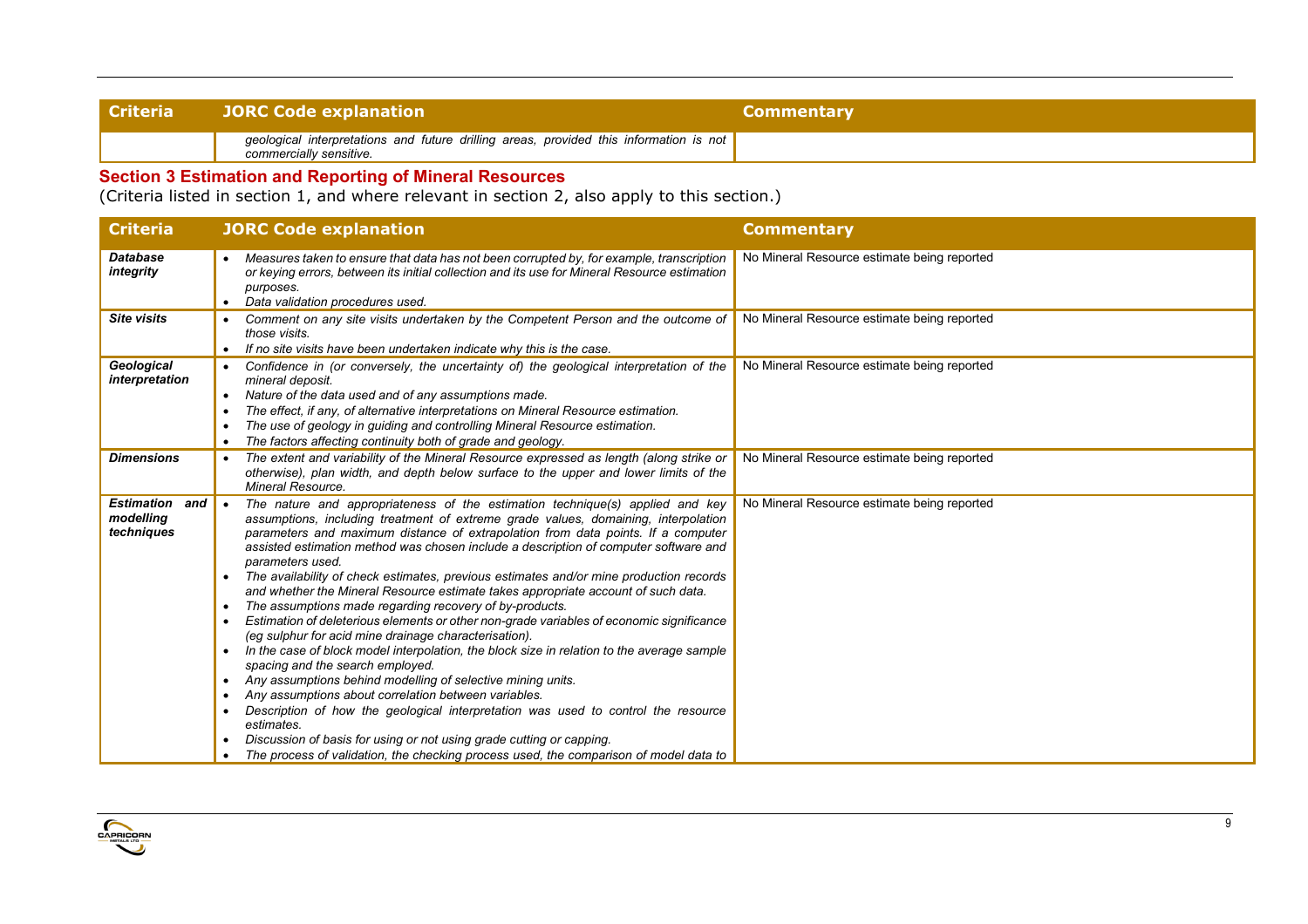| <b>Criteria JORC Code explanation</b>                                                                             | <b>Commentary</b> |
|-------------------------------------------------------------------------------------------------------------------|-------------------|
| geological interpretations and future drilling areas, provided this information is not<br>commercially sensitive. |                   |

**Section 3 Estimation and Reporting of Mineral Resources**

(Criteria listed in section 1, and where relevant in section 2, also apply to this section.)

| <b>Criteria</b>                                     |           | <b>JORC Code explanation</b>                                                                                                                                                                                                                                                                                                                                                                                                                                  | <b>Commentary</b>                           |
|-----------------------------------------------------|-----------|---------------------------------------------------------------------------------------------------------------------------------------------------------------------------------------------------------------------------------------------------------------------------------------------------------------------------------------------------------------------------------------------------------------------------------------------------------------|---------------------------------------------|
| <b>Database</b><br>integrity                        | $\bullet$ | Measures taken to ensure that data has not been corrupted by, for example, transcription<br>or keying errors, between its initial collection and its use for Mineral Resource estimation<br>purposes.<br>Data validation procedures used.                                                                                                                                                                                                                     | No Mineral Resource estimate being reported |
| <b>Site visits</b>                                  | $\bullet$ | Comment on any site visits undertaken by the Competent Person and the outcome of<br>those visits.<br>If no site visits have been undertaken indicate why this is the case.                                                                                                                                                                                                                                                                                    | No Mineral Resource estimate being reported |
| <b>Geological</b><br>interpretation                 | $\bullet$ | Confidence in (or conversely, the uncertainty of) the geological interpretation of the<br>mineral deposit.<br>Nature of the data used and of any assumptions made.<br>The effect, if any, of alternative interpretations on Mineral Resource estimation.<br>The use of geology in guiding and controlling Mineral Resource estimation.<br>The factors affecting continuity both of grade and geology.                                                         | No Mineral Resource estimate being reported |
| <b>Dimensions</b>                                   |           | The extent and variability of the Mineral Resource expressed as length (along strike or<br>otherwise), plan width, and depth below surface to the upper and lower limits of the<br><b>Mineral Resource.</b>                                                                                                                                                                                                                                                   | No Mineral Resource estimate being reported |
| <b>Estimation</b><br>and<br>modelling<br>techniques | . ا       | The nature and appropriateness of the estimation technique(s) applied and key<br>assumptions, including treatment of extreme grade values, domaining, interpolation<br>parameters and maximum distance of extrapolation from data points. If a computer<br>assisted estimation method was chosen include a description of computer software and<br>parameters used.<br>The availability of check estimates, previous estimates and/or mine production records | No Mineral Resource estimate being reported |
|                                                     |           | and whether the Mineral Resource estimate takes appropriate account of such data.                                                                                                                                                                                                                                                                                                                                                                             |                                             |
|                                                     |           | The assumptions made regarding recovery of by-products.<br>Estimation of deleterious elements or other non-grade variables of economic significance<br>(eg sulphur for acid mine drainage characterisation).                                                                                                                                                                                                                                                  |                                             |
|                                                     | $\bullet$ | In the case of block model interpolation, the block size in relation to the average sample<br>spacing and the search employed.<br>Any assumptions behind modelling of selective mining units.                                                                                                                                                                                                                                                                 |                                             |
|                                                     |           | Any assumptions about correlation between variables.                                                                                                                                                                                                                                                                                                                                                                                                          |                                             |
|                                                     | $\bullet$ | Description of how the geological interpretation was used to control the resource<br>estimates.                                                                                                                                                                                                                                                                                                                                                               |                                             |
|                                                     | $\bullet$ | Discussion of basis for using or not using grade cutting or capping.                                                                                                                                                                                                                                                                                                                                                                                          |                                             |
|                                                     |           | The process of validation, the checking process used, the comparison of model data to                                                                                                                                                                                                                                                                                                                                                                         |                                             |

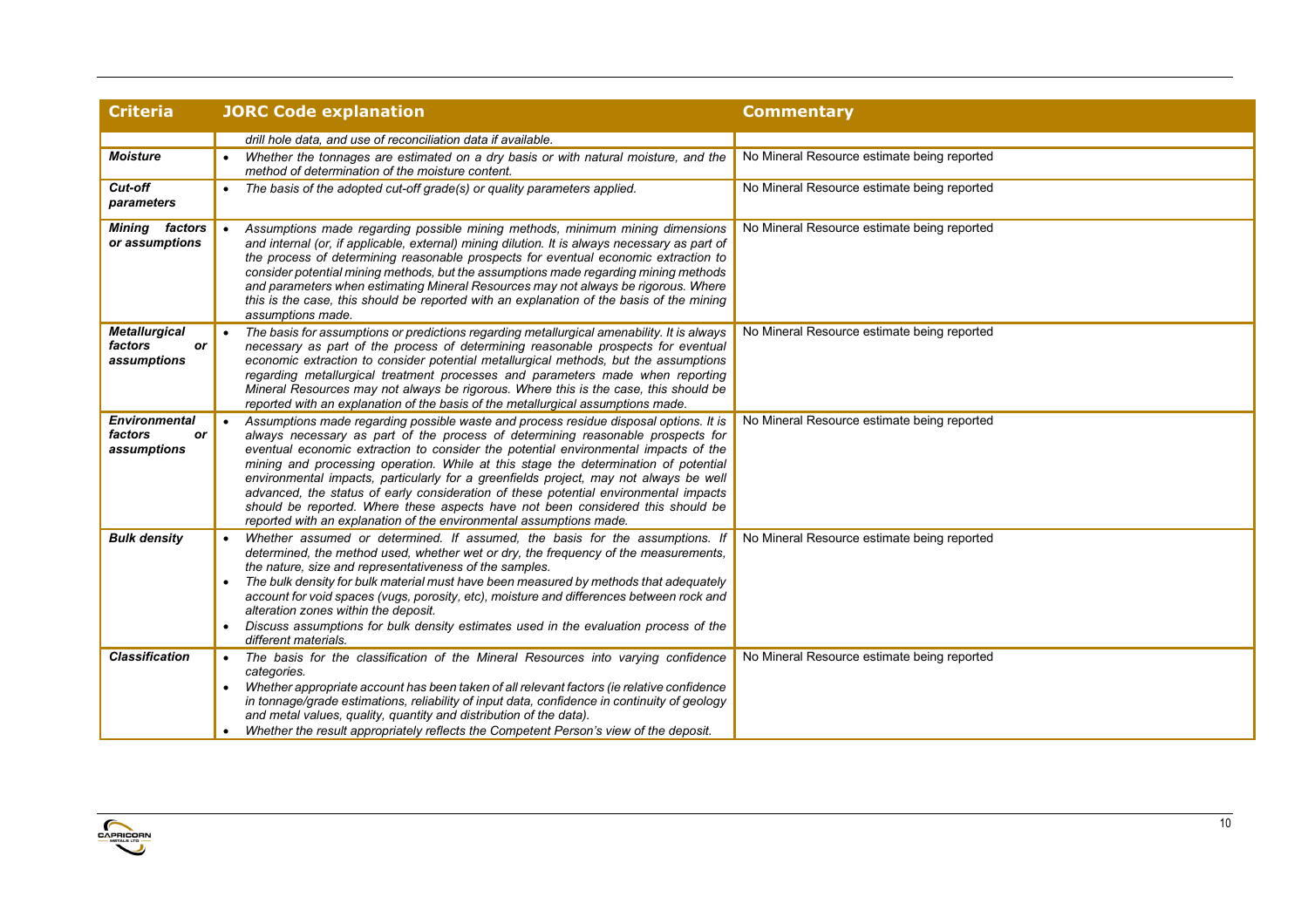| Criteria                                                           | <b>JORC Code explanation</b>                                                                                                                                                                                                                                                                                                                                                                                                                                                                                                                                                                                                                                                                                   | <b>Commentary</b>                           |
|--------------------------------------------------------------------|----------------------------------------------------------------------------------------------------------------------------------------------------------------------------------------------------------------------------------------------------------------------------------------------------------------------------------------------------------------------------------------------------------------------------------------------------------------------------------------------------------------------------------------------------------------------------------------------------------------------------------------------------------------------------------------------------------------|---------------------------------------------|
|                                                                    |                                                                                                                                                                                                                                                                                                                                                                                                                                                                                                                                                                                                                                                                                                                |                                             |
|                                                                    | drill hole data, and use of reconciliation data if available.                                                                                                                                                                                                                                                                                                                                                                                                                                                                                                                                                                                                                                                  |                                             |
| <b>Moisture</b>                                                    | Whether the tonnages are estimated on a dry basis or with natural moisture, and the<br>$\bullet$<br>method of determination of the moisture content.                                                                                                                                                                                                                                                                                                                                                                                                                                                                                                                                                           | No Mineral Resource estimate being reported |
| Cut-off<br>parameters                                              | The basis of the adopted cut-off grade(s) or quality parameters applied.                                                                                                                                                                                                                                                                                                                                                                                                                                                                                                                                                                                                                                       | No Mineral Resource estimate being reported |
| <b>Mining</b> factors<br>or assumptions                            | Assumptions made regarding possible mining methods, minimum mining dimensions<br>$\bullet$<br>and internal (or, if applicable, external) mining dilution. It is always necessary as part of<br>the process of determining reasonable prospects for eventual economic extraction to<br>consider potential mining methods, but the assumptions made regarding mining methods<br>and parameters when estimating Mineral Resources may not always be rigorous. Where<br>this is the case, this should be reported with an explanation of the basis of the mining<br>assumptions made.                                                                                                                              | No Mineral Resource estimate being reported |
| <b>Metallurgical</b><br>factors<br>or<br>assumptions               | The basis for assumptions or predictions regarding metallurgical amenability. It is always<br>$\bullet$<br>necessary as part of the process of determining reasonable prospects for eventual<br>economic extraction to consider potential metallurgical methods, but the assumptions<br>regarding metallurgical treatment processes and parameters made when reporting<br>Mineral Resources may not always be rigorous. Where this is the case, this should be<br>reported with an explanation of the basis of the metallurgical assumptions made.                                                                                                                                                             | No Mineral Resource estimate being reported |
| <b>Environmental</b><br><i>factors</i><br><b>or</b><br>assumptions | Assumptions made regarding possible waste and process residue disposal options. It is<br>$\bullet$<br>always necessary as part of the process of determining reasonable prospects for<br>eventual economic extraction to consider the potential environmental impacts of the<br>mining and processing operation. While at this stage the determination of potential<br>environmental impacts, particularly for a greenfields project, may not always be well<br>advanced, the status of early consideration of these potential environmental impacts<br>should be reported. Where these aspects have not been considered this should be<br>reported with an explanation of the environmental assumptions made. | No Mineral Resource estimate being reported |
| <b>Bulk density</b>                                                | Whether assumed or determined. If assumed, the basis for the assumptions. If<br>$\bullet$<br>determined, the method used, whether wet or dry, the frequency of the measurements,<br>the nature, size and representativeness of the samples.<br>The bulk density for bulk material must have been measured by methods that adequately<br>$\bullet$<br>account for void spaces (vugs, porosity, etc), moisture and differences between rock and<br>alteration zones within the deposit.<br>Discuss assumptions for bulk density estimates used in the evaluation process of the<br>$\bullet$<br>different materials.                                                                                             | No Mineral Resource estimate being reported |
| <b>Classification</b>                                              | The basis for the classification of the Mineral Resources into varying confidence<br>categories.<br>Whether appropriate account has been taken of all relevant factors (ie relative confidence<br>$\bullet$<br>in tonnage/grade estimations, reliability of input data, confidence in continuity of geology<br>and metal values, quality, quantity and distribution of the data).<br>Whether the result appropriately reflects the Competent Person's view of the deposit.                                                                                                                                                                                                                                     | No Mineral Resource estimate being reported |

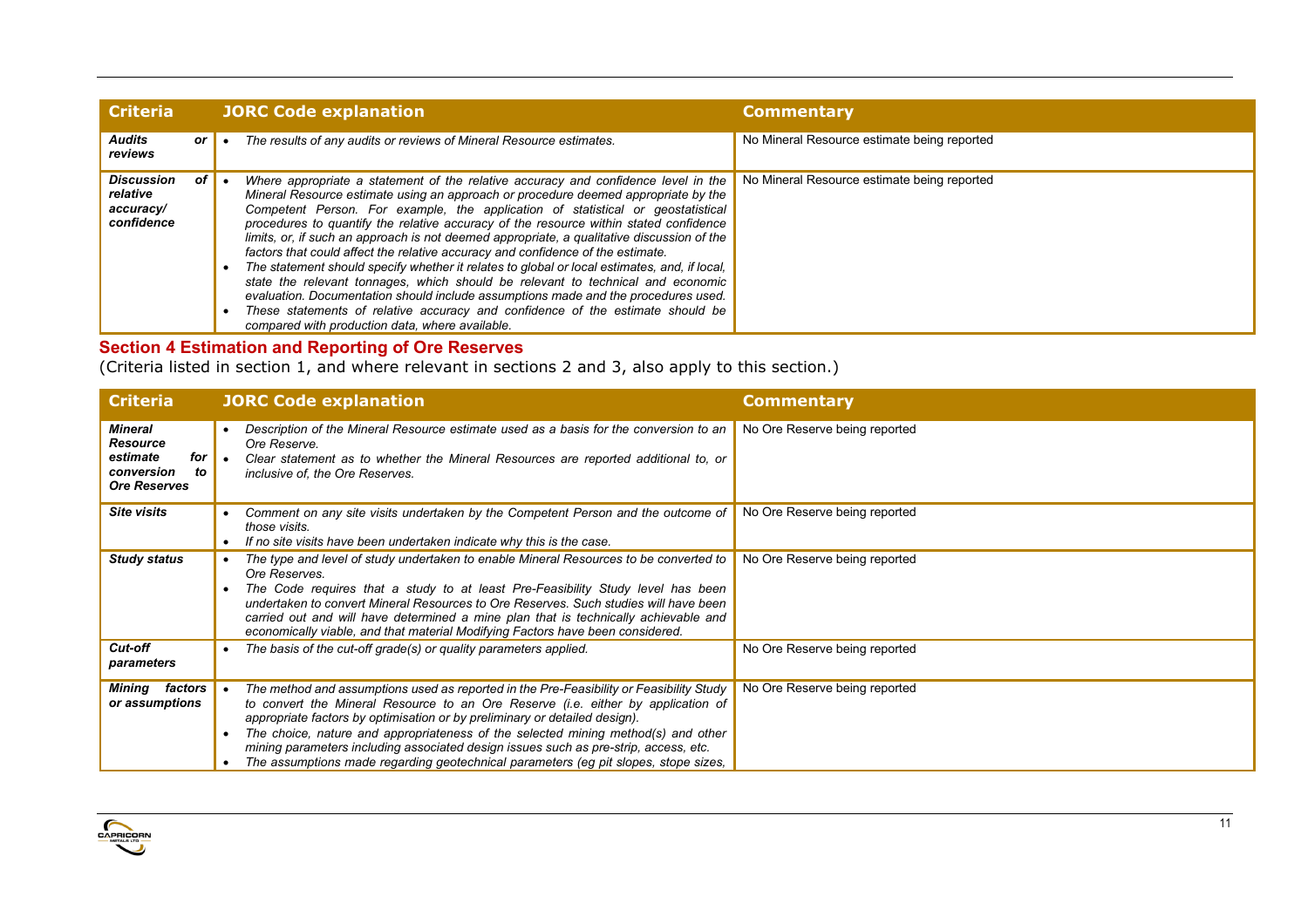| <b>Criteria</b>                                          |    | <b>JORC Code explanation</b>                                                                                                                                                                                                                                                                                                                                                                                                                                                                                                                                                                                                                                                                                                                                                                                                                                                                                                                        | <b>Commentary</b>                           |
|----------------------------------------------------------|----|-----------------------------------------------------------------------------------------------------------------------------------------------------------------------------------------------------------------------------------------------------------------------------------------------------------------------------------------------------------------------------------------------------------------------------------------------------------------------------------------------------------------------------------------------------------------------------------------------------------------------------------------------------------------------------------------------------------------------------------------------------------------------------------------------------------------------------------------------------------------------------------------------------------------------------------------------------|---------------------------------------------|
| <b>Audits</b><br>reviews                                 | or | The results of any audits or reviews of Mineral Resource estimates.                                                                                                                                                                                                                                                                                                                                                                                                                                                                                                                                                                                                                                                                                                                                                                                                                                                                                 | No Mineral Resource estimate being reported |
| <b>Discussion</b><br>relative<br>accuracy/<br>confidence | οt | Where appropriate a statement of the relative accuracy and confidence level in the<br>Mineral Resource estimate using an approach or procedure deemed appropriate by the<br>Competent Person. For example, the application of statistical or geostatistical<br>procedures to quantify the relative accuracy of the resource within stated confidence<br>limits, or, if such an approach is not deemed appropriate, a qualitative discussion of the<br>factors that could affect the relative accuracy and confidence of the estimate.<br>The statement should specify whether it relates to global or local estimates, and, if local,<br>state the relevant tonnages, which should be relevant to technical and economic<br>evaluation. Documentation should include assumptions made and the procedures used.<br>These statements of relative accuracy and confidence of the estimate should be<br>compared with production data, where available. | No Mineral Resource estimate being reported |

### **Section 4 Estimation and Reporting of Ore Reserves**

(Criteria listed in section 1, and where relevant in sections 2 and 3, also apply to this section.)

| <b>Criteria</b>                                                                          | <b>JORC Code explanation</b>                                                                                                                                                                                                                                                                                                                                                                                                                                                                                                  | <b>Commentary</b>             |
|------------------------------------------------------------------------------------------|-------------------------------------------------------------------------------------------------------------------------------------------------------------------------------------------------------------------------------------------------------------------------------------------------------------------------------------------------------------------------------------------------------------------------------------------------------------------------------------------------------------------------------|-------------------------------|
| Mineral<br><b>Resource</b><br>estimate<br>for<br>conversion<br>to<br><b>Ore Reserves</b> | Description of the Mineral Resource estimate used as a basis for the conversion to an<br>Ore Reserve.<br>Clear statement as to whether the Mineral Resources are reported additional to, or<br>inclusive of, the Ore Reserves.                                                                                                                                                                                                                                                                                                | No Ore Reserve being reported |
| <b>Site visits</b>                                                                       | Comment on any site visits undertaken by the Competent Person and the outcome of<br>those visits.<br>If no site visits have been undertaken indicate why this is the case.                                                                                                                                                                                                                                                                                                                                                    | No Ore Reserve being reported |
| <b>Study status</b>                                                                      | The type and level of study undertaken to enable Mineral Resources to be converted to<br>Ore Reserves.<br>The Code requires that a study to at least Pre-Feasibility Study level has been<br>undertaken to convert Mineral Resources to Ore Reserves. Such studies will have been<br>carried out and will have determined a mine plan that is technically achievable and<br>economically viable, and that material Modifying Factors have been considered.                                                                    | No Ore Reserve being reported |
| Cut-off<br>parameters                                                                    | The basis of the cut-off grade(s) or quality parameters applied.<br>$\bullet$                                                                                                                                                                                                                                                                                                                                                                                                                                                 | No Ore Reserve being reported |
| Mining<br>factors<br>or assumptions                                                      | The method and assumptions used as reported in the Pre-Feasibility or Feasibility Study<br>to convert the Mineral Resource to an Ore Reserve (i.e. either by application of<br>appropriate factors by optimisation or by preliminary or detailed design).<br>The choice, nature and appropriateness of the selected mining method(s) and other<br>mining parameters including associated design issues such as pre-strip, access, etc.<br>The assumptions made regarding geotechnical parameters (eg pit slopes, stope sizes, | No Ore Reserve being reported |

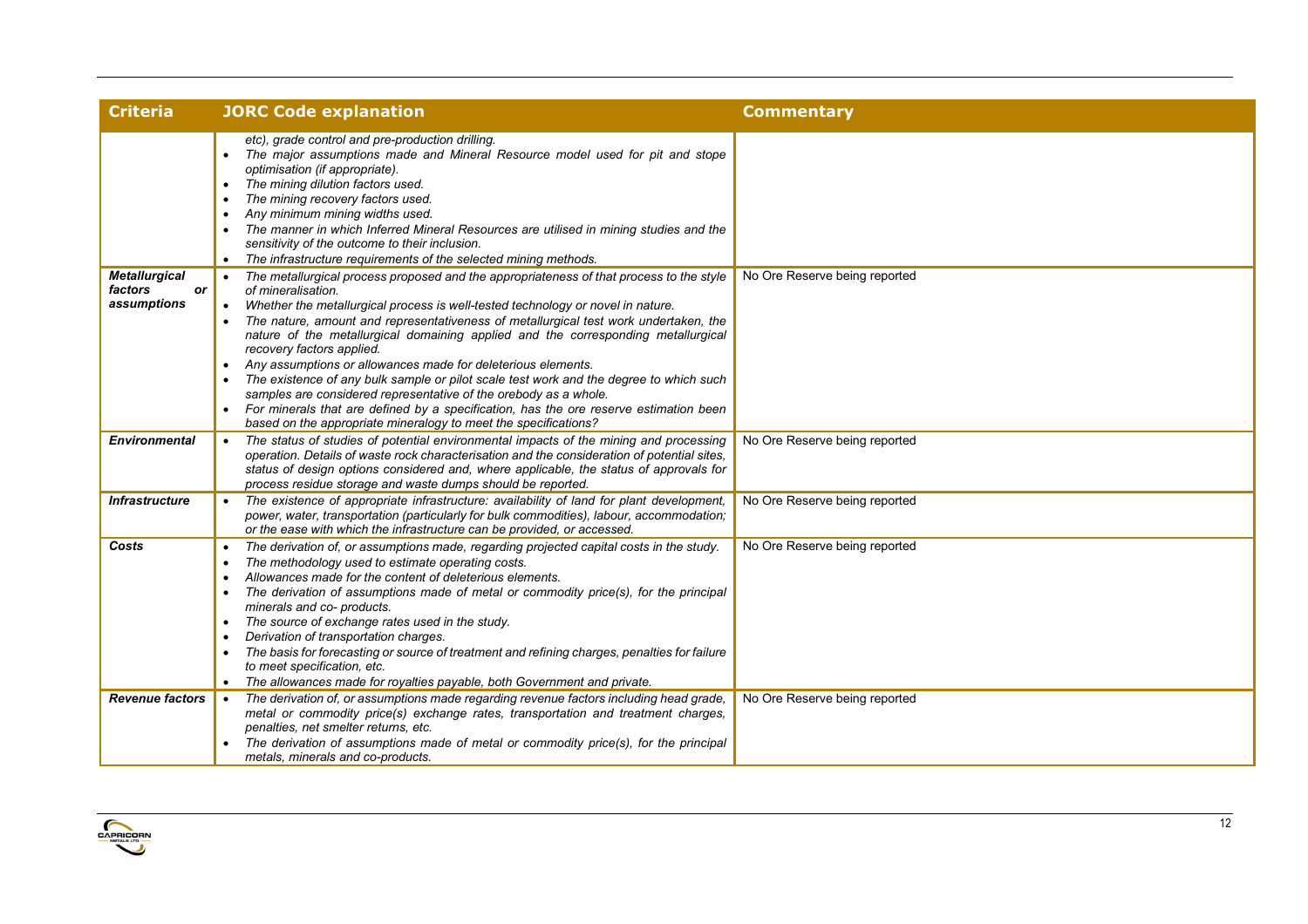| <b>Criteria</b>                                             | <b>JORC Code explanation</b>                                                                                                                                                                                                                                                                                                                                                                                                                                                                                                                                                                                                                                                                                                                                                                                                                                          | <b>Commentary</b>             |
|-------------------------------------------------------------|-----------------------------------------------------------------------------------------------------------------------------------------------------------------------------------------------------------------------------------------------------------------------------------------------------------------------------------------------------------------------------------------------------------------------------------------------------------------------------------------------------------------------------------------------------------------------------------------------------------------------------------------------------------------------------------------------------------------------------------------------------------------------------------------------------------------------------------------------------------------------|-------------------------------|
|                                                             | etc), grade control and pre-production drilling.<br>The major assumptions made and Mineral Resource model used for pit and stope<br>$\bullet$<br>optimisation (if appropriate).<br>The mining dilution factors used.<br>The mining recovery factors used.<br>Any minimum mining widths used.<br>The manner in which Inferred Mineral Resources are utilised in mining studies and the<br>sensitivity of the outcome to their inclusion.<br>The infrastructure requirements of the selected mining methods.                                                                                                                                                                                                                                                                                                                                                            |                               |
| <b>Metallurgical</b><br>factors<br><b>or</b><br>assumptions | The metallurgical process proposed and the appropriateness of that process to the style<br>of mineralisation.<br>Whether the metallurgical process is well-tested technology or novel in nature.<br>$\bullet$<br>The nature, amount and representativeness of metallurgical test work undertaken, the<br>$\bullet$<br>nature of the metallurgical domaining applied and the corresponding metallurgical<br>recovery factors applied.<br>Any assumptions or allowances made for deleterious elements.<br>$\bullet$<br>The existence of any bulk sample or pilot scale test work and the degree to which such<br>$\bullet$<br>samples are considered representative of the orebody as a whole.<br>For minerals that are defined by a specification, has the ore reserve estimation been<br>$\bullet$<br>based on the appropriate mineralogy to meet the specifications? | No Ore Reserve being reported |
| <b>Environmental</b>                                        | The status of studies of potential environmental impacts of the mining and processing<br>$\bullet$<br>operation. Details of waste rock characterisation and the consideration of potential sites.<br>status of design options considered and, where applicable, the status of approvals for<br>process residue storage and waste dumps should be reported.                                                                                                                                                                                                                                                                                                                                                                                                                                                                                                            | No Ore Reserve being reported |
| <b>Infrastructure</b>                                       | The existence of appropriate infrastructure: availability of land for plant development,<br>power, water, transportation (particularly for bulk commodities), labour, accommodation;<br>or the ease with which the infrastructure can be provided, or accessed.                                                                                                                                                                                                                                                                                                                                                                                                                                                                                                                                                                                                       | No Ore Reserve being reported |
| Costs                                                       | The derivation of, or assumptions made, regarding projected capital costs in the study.<br>The methodology used to estimate operating costs.<br>$\bullet$<br>Allowances made for the content of deleterious elements.<br>The derivation of assumptions made of metal or commodity price(s), for the principal<br>$\bullet$<br>minerals and co- products.<br>The source of exchange rates used in the study.<br>$\bullet$<br>Derivation of transportation charges.<br>The basis for forecasting or source of treatment and refining charges, penalties for failure<br>to meet specification, etc.<br>The allowances made for royalties payable, both Government and private.                                                                                                                                                                                           | No Ore Reserve being reported |
| <b>Revenue factors</b>                                      | The derivation of, or assumptions made regarding revenue factors including head grade,<br>$\bullet$<br>metal or commodity price(s) exchange rates, transportation and treatment charges,<br>penalties, net smelter returns, etc.<br>The derivation of assumptions made of metal or commodity price(s), for the principal<br>metals, minerals and co-products.                                                                                                                                                                                                                                                                                                                                                                                                                                                                                                         | No Ore Reserve being reported |

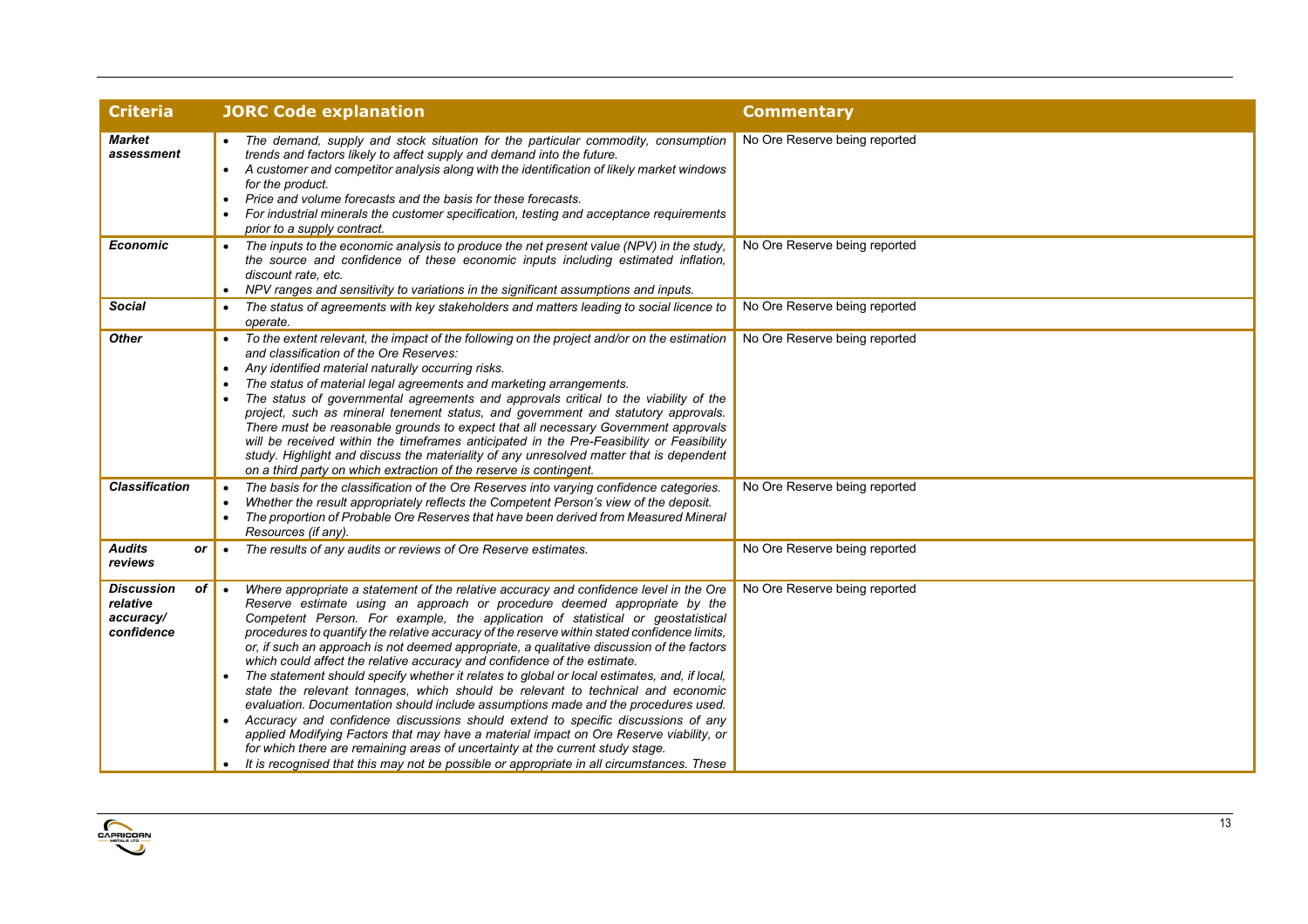| <b>Criteria</b>                                                | <b>JORC Code explanation</b>                                                                                                                                                                                                                                                                                                                                                                                                                                                                                                                                                                                                                                                                                                                                                                                                                                                                                                                                                                                                                                                                                                                                                        | <b>Commentary</b>             |
|----------------------------------------------------------------|-------------------------------------------------------------------------------------------------------------------------------------------------------------------------------------------------------------------------------------------------------------------------------------------------------------------------------------------------------------------------------------------------------------------------------------------------------------------------------------------------------------------------------------------------------------------------------------------------------------------------------------------------------------------------------------------------------------------------------------------------------------------------------------------------------------------------------------------------------------------------------------------------------------------------------------------------------------------------------------------------------------------------------------------------------------------------------------------------------------------------------------------------------------------------------------|-------------------------------|
| <b>Market</b><br>assessment                                    | • The demand, supply and stock situation for the particular commodity, consumption<br>trends and factors likely to affect supply and demand into the future.<br>• A customer and competitor analysis along with the identification of likely market windows<br>for the product.<br>Price and volume forecasts and the basis for these forecasts.<br>$\bullet$<br>For industrial minerals the customer specification, testing and acceptance requirements<br>prior to a supply contract.                                                                                                                                                                                                                                                                                                                                                                                                                                                                                                                                                                                                                                                                                             | No Ore Reserve being reported |
| <b>Economic</b>                                                | The inputs to the economic analysis to produce the net present value (NPV) in the study,<br>$\bullet$<br>the source and confidence of these economic inputs including estimated inflation.<br>discount rate, etc.<br>NPV ranges and sensitivity to variations in the significant assumptions and inputs.                                                                                                                                                                                                                                                                                                                                                                                                                                                                                                                                                                                                                                                                                                                                                                                                                                                                            | No Ore Reserve being reported |
| <b>Social</b>                                                  | The status of agreements with key stakeholders and matters leading to social licence to<br>operate.                                                                                                                                                                                                                                                                                                                                                                                                                                                                                                                                                                                                                                                                                                                                                                                                                                                                                                                                                                                                                                                                                 | No Ore Reserve being reported |
| <b>Other</b>                                                   | To the extent relevant, the impact of the following on the project and/or on the estimation<br>and classification of the Ore Reserves:<br>• Any identified material naturally occurring risks.<br>The status of material legal agreements and marketing arrangements.<br>The status of governmental agreements and approvals critical to the viability of the<br>$\bullet$<br>project, such as mineral tenement status, and government and statutory approvals.<br>There must be reasonable grounds to expect that all necessary Government approvals<br>will be received within the timeframes anticipated in the Pre-Feasibility or Feasibility<br>study. Highlight and discuss the materiality of any unresolved matter that is dependent<br>on a third party on which extraction of the reserve is contingent.                                                                                                                                                                                                                                                                                                                                                                  | No Ore Reserve being reported |
| <b>Classification</b>                                          | The basis for the classification of the Ore Reserves into varying confidence categories.<br>Whether the result appropriately reflects the Competent Person's view of the deposit.<br>$\bullet$<br>The proportion of Probable Ore Reserves that have been derived from Measured Mineral<br>$\bullet$<br>Resources (if any).                                                                                                                                                                                                                                                                                                                                                                                                                                                                                                                                                                                                                                                                                                                                                                                                                                                          | No Ore Reserve being reported |
| <b>Audits</b><br>or<br>reviews                                 | The results of any audits or reviews of Ore Reserve estimates.                                                                                                                                                                                                                                                                                                                                                                                                                                                                                                                                                                                                                                                                                                                                                                                                                                                                                                                                                                                                                                                                                                                      | No Ore Reserve being reported |
| <b>Discussion</b><br>of<br>relative<br>accuracy/<br>confidence | Where appropriate a statement of the relative accuracy and confidence level in the Ore<br>$\bullet$<br>Reserve estimate using an approach or procedure deemed appropriate by the<br>Competent Person. For example, the application of statistical or geostatistical<br>procedures to quantify the relative accuracy of the reserve within stated confidence limits,<br>or, if such an approach is not deemed appropriate, a qualitative discussion of the factors<br>which could affect the relative accuracy and confidence of the estimate.<br>The statement should specify whether it relates to global or local estimates, and, if local,<br>state the relevant tonnages, which should be relevant to technical and economic<br>evaluation. Documentation should include assumptions made and the procedures used.<br>Accuracy and confidence discussions should extend to specific discussions of any<br>applied Modifying Factors that may have a material impact on Ore Reserve viability, or<br>for which there are remaining areas of uncertainty at the current study stage.<br>It is recognised that this may not be possible or appropriate in all circumstances. These | No Ore Reserve being reported |